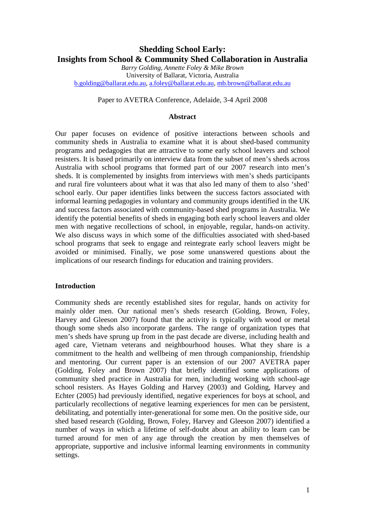# **Shedding School Early: Insights from School & Community Shed Collaboration in Australia**

*Barry Golding, Annette Foley & Mike Brown*  University of Ballarat, Victoria, Australia b.golding@ballarat.edu.au, a.foley@ballarat.edu.au, mb.brown@ballarat.edu.au

### Paper to AVETRA Conference, Adelaide, 3-4 April 2008

#### **Abstract**

Our paper focuses on evidence of positive interactions between schools and community sheds in Australia to examine what it is about shed-based community programs and pedagogies that are attractive to some early school leavers and school resisters. It is based primarily on interview data from the subset of men's sheds across Australia with school programs that formed part of our 2007 research into men's sheds. It is complemented by insights from interviews with men's sheds participants and rural fire volunteers about what it was that also led many of them to also 'shed' school early. Our paper identifies links between the success factors associated with informal learning pedagogies in voluntary and community groups identified in the UK and success factors associated with community-based shed programs in Australia. We identify the potential benefits of sheds in engaging both early school leavers and older men with negative recollections of school, in enjoyable, regular, hands-on activity. We also discuss ways in which some of the difficulties associated with shed-based school programs that seek to engage and reintegrate early school leavers might be avoided or minimised. Finally, we pose some unanswered questions about the implications of our research findings for education and training providers.

#### **Introduction**

Community sheds are recently established sites for regular, hands on activity for mainly older men. Our national men's sheds research (Golding, Brown, Foley, Harvey and Gleeson 2007) found that the activity is typically with wood or metal though some sheds also incorporate gardens. The range of organization types that men's sheds have sprung up from in the past decade are diverse, including health and aged care, Vietnam veterans and neighbourhood houses. What they share is a commitment to the health and wellbeing of men through companionship, friendship and mentoring. Our current paper is an extension of our 2007 AVETRA paper (Golding, Foley and Brown 2007) that briefly identified some applications of community shed practice in Australia for men, including working with school-age school resisters. As Hayes Golding and Harvey (2003) and Golding, Harvey and Echter (2005) had previously identified, negative experiences for boys at school, and particularly recollections of negative learning experiences for men can be persistent, debilitating, and potentially inter-generational for some men. On the positive side, our shed based research (Golding, Brown, Foley, Harvey and Gleeson 2007) identified a number of ways in which a lifetime of self-doubt about an ability to learn can be turned around for men of any age through the creation by men themselves of appropriate, supportive and inclusive informal learning environments in community settings.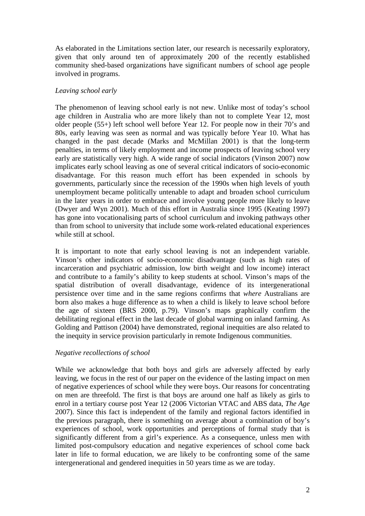As elaborated in the Limitations section later, our research is necessarily exploratory, given that only around ten of approximately 200 of the recently established community shed-based organizations have significant numbers of school age people involved in programs.

## *Leaving school early*

The phenomenon of leaving school early is not new. Unlike most of today's school age children in Australia who are more likely than not to complete Year 12, most older people (55+) left school well before Year 12. For people now in their 70's and 80s, early leaving was seen as normal and was typically before Year 10. What has changed in the past decade (Marks and McMillan 2001) is that the long-term penalties, in terms of likely employment and income prospects of leaving school very early are statistically very high. A wide range of social indicators (Vinson 2007) now implicates early school leaving as one of several critical indicators of socio-economic disadvantage. For this reason much effort has been expended in schools by governments, particularly since the recession of the 1990s when high levels of youth unemployment became politically untenable to adapt and broaden school curriculum in the later years in order to embrace and involve young people more likely to leave (Dwyer and Wyn 2001). Much of this effort in Australia since 1995 (Keating 1997) has gone into vocationalising parts of school curriculum and invoking pathways other than from school to university that include some work-related educational experiences while still at school.

It is important to note that early school leaving is not an independent variable. Vinson's other indicators of socio-economic disadvantage (such as high rates of incarceration and psychiatric admission, low birth weight and low income) interact and contribute to a family's ability to keep students at school. Vinson's maps of the spatial distribution of overall disadvantage, evidence of its intergenerational persistence over time and in the same regions confirms that *where* Australians are born also makes a huge difference as to when a child is likely to leave school before the age of sixteen (BRS 2000, p.79). Vinson's maps graphically confirm the debilitating regional effect in the last decade of global warming on inland farming. As Golding and Pattison (2004) have demonstrated, regional inequities are also related to the inequity in service provision particularly in remote Indigenous communities.

## *Negative recollections of school*

While we acknowledge that both boys and girls are adversely affected by early leaving, we focus in the rest of our paper on the evidence of the lasting impact on men of negative experiences of school while they were boys. Our reasons for concentrating on men are threefold. The first is that boys are around one half as likely as girls to enrol in a tertiary course post Year 12 (2006 Victorian VTAC and ABS data, *The Age*  2007). Since this fact is independent of the family and regional factors identified in the previous paragraph, there is something on average about a combination of boy's experiences of school, work opportunities and perceptions of formal study that is significantly different from a girl's experience. As a consequence, unless men with limited post-compulsory education and negative experiences of school come back later in life to formal education, we are likely to be confronting some of the same intergenerational and gendered inequities in 50 years time as we are today.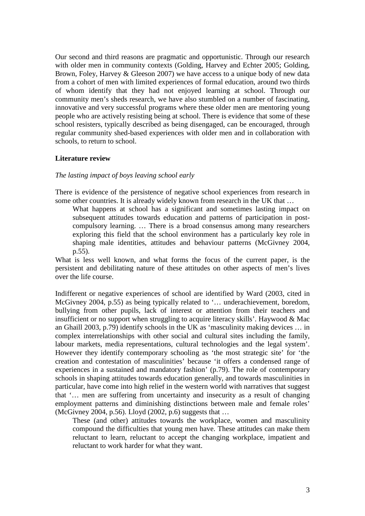Our second and third reasons are pragmatic and opportunistic. Through our research with older men in community contexts (Golding, Harvey and Echter 2005; Golding, Brown, Foley, Harvey & Gleeson 2007) we have access to a unique body of new data from a cohort of men with limited experiences of formal education, around two thirds of whom identify that they had not enjoyed learning at school. Through our community men's sheds research, we have also stumbled on a number of fascinating, innovative and very successful programs where these older men are mentoring young people who are actively resisting being at school. There is evidence that some of these school resisters, typically described as being disengaged, can be encouraged, through regular community shed-based experiences with older men and in collaboration with schools, to return to school.

#### **Literature review**

#### *The lasting impact of boys leaving school early*

There is evidence of the persistence of negative school experiences from research in some other countries. It is already widely known from research in the UK that …

What happens at school has a significant and sometimes lasting impact on subsequent attitudes towards education and patterns of participation in postcompulsory learning. … There is a broad consensus among many researchers exploring this field that the school environment has a particularly key role in shaping male identities, attitudes and behaviour patterns (McGivney 2004, p.55).

What is less well known, and what forms the focus of the current paper, is the persistent and debilitating nature of these attitudes on other aspects of men's lives over the life course.

Indifferent or negative experiences of school are identified by Ward (2003, cited in McGivney 2004, p.55) as being typically related to '… underachievement, boredom, bullying from other pupils, lack of interest or attention from their teachers and insufficient or no support when struggling to acquire literacy skills'. Haywood & Mac an Ghaill 2003, p.79) identify schools in the UK as 'masculinity making devices … in complex interrelationships with other social and cultural sites including the family, labour markets, media representations, cultural technologies and the legal system'. However they identify contemporary schooling as 'the most strategic site' for 'the creation and contestation of masculinities' because 'it offers a condensed range of experiences in a sustained and mandatory fashion' (p.79). The role of contemporary schools in shaping attitudes towards education generally, and towards masculinities in particular, have come into high relief in the western world with narratives that suggest that '… men are suffering from uncertainty and insecurity as a result of changing employment patterns and diminishing distinctions between male and female roles' (McGivney 2004, p.56). Lloyd (2002, p.6) suggests that …

These (and other) attitudes towards the workplace, women and masculinity compound the difficulties that young men have. These attitudes can make them reluctant to learn, reluctant to accept the changing workplace, impatient and reluctant to work harder for what they want.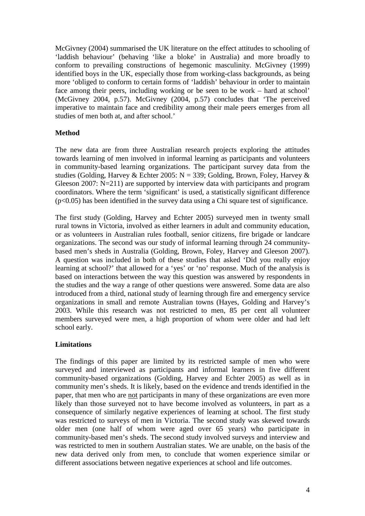McGivney (2004) summarised the UK literature on the effect attitudes to schooling of 'laddish behaviour' (behaving 'like a bloke' in Australia) and more broadly to conform to prevailing constructions of hegemonic masculinity. McGivney (1999) identified boys in the UK, especially those from working-class backgrounds, as being more 'obliged to conform to certain forms of 'laddish' behaviour in order to maintain face among their peers, including working or be seen to be work – hard at school' (McGivney 2004, p.57). McGivney (2004, p.57) concludes that 'The perceived imperative to maintain face and credibility among their male peers emerges from all studies of men both at, and after school.'

## **Method**

The new data are from three Australian research projects exploring the attitudes towards learning of men involved in informal learning as participants and volunteers in community-based learning organizations. The participant survey data from the studies (Golding, Harvey & Echter 2005: N = 339; Golding, Brown, Foley, Harvey & Gleeson 2007: N=211) are supported by interview data with participants and program coordinators. Where the term 'significant' is used, a statistically significant difference  $(p<0.05)$  has been identified in the survey data using a Chi square test of significance.

The first study (Golding, Harvey and Echter 2005) surveyed men in twenty small rural towns in Victoria, involved as either learners in adult and community education, or as volunteers in Australian rules football, senior citizens, fire brigade or landcare organizations. The second was our study of informal learning through 24 communitybased men's sheds in Australia (Golding, Brown, Foley, Harvey and Gleeson 2007). A question was included in both of these studies that asked 'Did you really enjoy learning at school?' that allowed for a 'yes' or 'no' response. Much of the analysis is based on interactions between the way this question was answered by respondents in the studies and the way a range of other questions were answered. Some data are also introduced from a third, national study of learning through fire and emergency service organizations in small and remote Australian towns (Hayes, Golding and Harvey's 2003. While this research was not restricted to men, 85 per cent all volunteer members surveyed were men, a high proportion of whom were older and had left school early.

## **Limitations**

The findings of this paper are limited by its restricted sample of men who were surveyed and interviewed as participants and informal learners in five different community-based organizations (Golding, Harvey and Echter 2005) as well as in community men's sheds. It is likely, based on the evidence and trends identified in the paper, that men who are not participants in many of these organizations are even more likely than those surveyed not to have become involved as volunteers, in part as a consequence of similarly negative experiences of learning at school. The first study was restricted to surveys of men in Victoria. The second study was skewed towards older men (one half of whom were aged over 65 years) who participate in community-based men's sheds. The second study involved surveys and interview and was restricted to men in southern Australian states. We are unable, on the basis of the new data derived only from men, to conclude that women experience similar or different associations between negative experiences at school and life outcomes.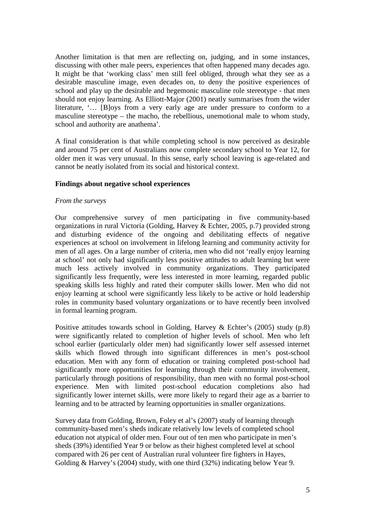Another limitation is that men are reflecting on, judging, and in some instances, discussing with other male peers, experiences that often happened many decades ago. It might be that 'working class' men still feel obliged, through what they see as a desirable masculine image, even decades on, to deny the positive experiences of school and play up the desirable and hegemonic masculine role stereotype - that men should not enjoy learning. As Elliott-Major (2001) neatly summarises from the wider literature, '… [B]oys from a very early age are under pressure to conform to a masculine stereotype – the macho, the rebellious, unemotional male to whom study, school and authority are anathema'.

A final consideration is that while completing school is now perceived as desirable and around 75 per cent of Australians now complete secondary school to Year 12, for older men it was very unusual. In this sense, early school leaving is age-related and cannot be neatly isolated from its social and historical context.

### **Findings about negative school experiences**

### *From the surveys*

Our comprehensive survey of men participating in five community-based organizations in rural Victoria (Golding, Harvey & Echter, 2005, p.7) provided strong and disturbing evidence of the ongoing and debilitating effects of negative experiences at school on involvement in lifelong learning and community activity for men of all ages. On a large number of criteria, men who did not 'really enjoy learning at school' not only had significantly less positive attitudes to adult learning but were much less actively involved in community organizations. They participated significantly less frequently, were less interested in more learning, regarded public speaking skills less highly and rated their computer skills lower. Men who did not enjoy learning at school were significantly less likely to be active or hold leadership roles in community based voluntary organizations or to have recently been involved in formal learning program.

Positive attitudes towards school in Golding, Harvey & Echter's (2005) study (p.8) were significantly related to completion of higher levels of school. Men who left school earlier (particularly older men) had significantly lower self assessed internet skills which flowed through into significant differences in men's post-school education. Men with any form of education or training completed post-school had significantly more opportunities for learning through their community involvement, particularly through positions of responsibility, than men with no formal post-school experience. Men with limited post-school education completions also had significantly lower internet skills, were more likely to regard their age as a barrier to learning and to be attracted by learning opportunities in smaller organizations.

Survey data from Golding, Brown, Foley et al's (2007) study of learning through community-based men's sheds indicate relatively low levels of completed school education not atypical of older men. Four out of ten men who participate in men's sheds (39%) identified Year 9 or below as their highest completed level at school compared with 26 per cent of Australian rural volunteer fire fighters in Hayes, Golding & Harvey's (2004) study, with one third (32%) indicating below Year 9.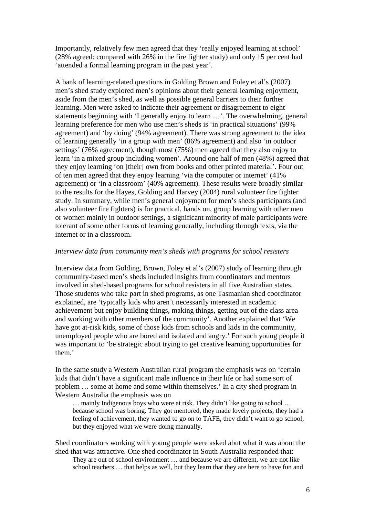Importantly, relatively few men agreed that they 'really enjoyed learning at school' (28% agreed: compared with 26% in the fire fighter study) and only 15 per cent had 'attended a formal learning program in the past year'.

A bank of learning-related questions in Golding Brown and Foley et al's (2007) men's shed study explored men's opinions about their general learning enjoyment, aside from the men's shed, as well as possible general barriers to their further learning. Men were asked to indicate their agreement or disagreement to eight statements beginning with 'I generally enjoy to learn …'. The overwhelming, general learning preference for men who use men's sheds is 'in practical situations' (99% agreement) and 'by doing' (94% agreement). There was strong agreement to the idea of learning generally 'in a group with men' (86% agreement) and also 'in outdoor settings' (76% agreement), though most (75%) men agreed that they also enjoy to learn 'in a mixed group including women'. Around one half of men (48%) agreed that they enjoy learning 'on [their] own from books and other printed material'. Four out of ten men agreed that they enjoy learning 'via the computer or internet' (41% agreement) or 'in a classroom' (40% agreement). These results were broadly similar to the results for the Hayes, Golding and Harvey (2004) rural volunteer fire fighter study. In summary, while men's general enjoyment for men's sheds participants (and also volunteer fire fighters) is for practical, hands on, group learning with other men or women mainly in outdoor settings, a significant minority of male participants were tolerant of some other forms of learning generally, including through texts, via the internet or in a classroom.

#### *Interview data from community men's sheds with programs for school resisters*

Interview data from Golding, Brown, Foley et al's (2007) study of learning through community-based men's sheds included insights from coordinators and mentors involved in shed-based programs for school resisters in all five Australian states. Those students who take part in shed programs, as one Tasmanian shed coordinator explained, are 'typically kids who aren't necessarily interested in academic achievement but enjoy building things, making things, getting out of the class area and working with other members of the community'. Another explained that 'We have got at-risk kids, some of those kids from schools and kids in the community, unemployed people who are bored and isolated and angry.' For such young people it was important to 'be strategic about trying to get creative learning opportunities for them.'

In the same study a Western Australian rural program the emphasis was on 'certain kids that didn't have a significant male influence in their life or had some sort of problem … some at home and some within themselves.' In a city shed program in Western Australia the emphasis was on

… mainly Indigenous boys who were at risk. They didn't like going to school … because school was boring. They got mentored, they made lovely projects, they had a feeling of achievement, they wanted to go on to TAFE, they didn't want to go school, but they enjoyed what we were doing manually.

Shed coordinators working with young people were asked abut what it was about the shed that was attractive. One shed coordinator in South Australia responded that: They are out of school environment … and because we are different, we are not like school teachers … that helps as well, but they learn that they are here to have fun and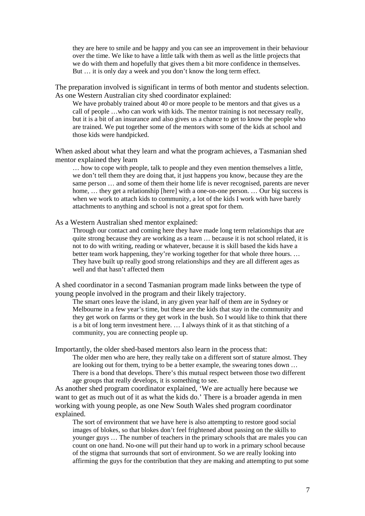they are here to smile and be happy and you can see an improvement in their behaviour over the time. We like to have a little talk with them as well as the little projects that we do with them and hopefully that gives them a bit more confidence in themselves. But … it is only day a week and you don't know the long term effect.

The preparation involved is significant in terms of both mentor and students selection. As one Western Australian city shed coordinator explained:

We have probably trained about 40 or more people to be mentors and that gives us a call of people …who can work with kids. The mentor training is not necessary really, but it is a bit of an insurance and also gives us a chance to get to know the people who are trained. We put together some of the mentors with some of the kids at school and those kids were handpicked.

When asked about what they learn and what the program achieves, a Tasmanian shed mentor explained they learn

… how to cope with people, talk to people and they even mention themselves a little, we don't tell them they are doing that, it just happens you know, because they are the same person … and some of them their home life is never recognised, parents are never home, ... they get a relationship [here] with a one-on-one person. ... Our big success is when we work to attach kids to community, a lot of the kids I work with have barely attachments to anything and school is not a great spot for them.

As a Western Australian shed mentor explained:

Through our contact and coming here they have made long term relationships that are quite strong because they are working as a team … because it is not school related, it is not to do with writing, reading or whatever, because it is skill based the kids have a better team work happening, they're working together for that whole three hours. ... They have built up really good strong relationships and they are all different ages as well and that hasn't affected them

A shed coordinator in a second Tasmanian program made links between the type of young people involved in the program and their likely trajectory.

The smart ones leave the island, in any given year half of them are in Sydney or Melbourne in a few year's time, but these are the kids that stay in the community and they get work on farms or they get work in the bush. So I would like to think that there is a bit of long term investment here. … I always think of it as that stitching of a community, you are connecting people up.

Importantly, the older shed-based mentors also learn in the process that:

The older men who are here, they really take on a different sort of stature almost. They are looking out for them, trying to be a better example, the swearing tones down … There is a bond that develops. There's this mutual respect between those two different age groups that really develops, it is something to see.

As another shed program coordinator explained, 'We are actually here because we want to get as much out of it as what the kids do.' There is a broader agenda in men working with young people, as one New South Wales shed program coordinator explained.

The sort of environment that we have here is also attempting to restore good social images of blokes, so that blokes don't feel frightened about passing on the skills to younger guys … The number of teachers in the primary schools that are males you can count on one hand. No-one will put their hand up to work in a primary school because of the stigma that surrounds that sort of environment. So we are really looking into affirming the guys for the contribution that they are making and attempting to put some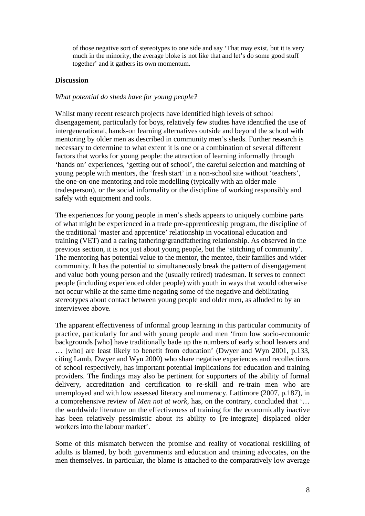of those negative sort of stereotypes to one side and say 'That may exist, but it is very much in the minority, the average bloke is not like that and let's do some good stuff together' and it gathers its own momentum.

### **Discussion**

## *What potential do sheds have for young people?*

Whilst many recent research projects have identified high levels of school disengagement, particularly for boys, relatively few studies have identified the use of intergenerational, hands-on learning alternatives outside and beyond the school with mentoring by older men as described in community men's sheds. Further research is necessary to determine to what extent it is one or a combination of several different factors that works for young people: the attraction of learning informally through 'hands on' experiences, 'getting out of school', the careful selection and matching of young people with mentors, the 'fresh start' in a non-school site without 'teachers', the one-on-one mentoring and role modelling (typically with an older male tradesperson), or the social informality or the discipline of working responsibly and safely with equipment and tools.

The experiences for young people in men's sheds appears to uniquely combine parts of what might be experienced in a trade pre-apprenticeship program, the discipline of the traditional 'master and apprentice' relationship in vocational education and training (VET) and a caring fathering/grandfathering relationship. As observed in the previous section, it is not just about young people, but the 'stitching of community'. The mentoring has potential value to the mentor, the mentee, their families and wider community. It has the potential to simultaneously break the pattern of disengagement and value both young person and the (usually retired) tradesman. It serves to connect people (including experienced older people) with youth in ways that would otherwise not occur while at the same time negating some of the negative and debilitating stereotypes about contact between young people and older men, as alluded to by an interviewee above.

The apparent effectiveness of informal group learning in this particular community of practice, particularly for and with young people and men 'from low socio-economic backgrounds [who] have traditionally bade up the numbers of early school leavers and … [who] are least likely to benefit from education' (Dwyer and Wyn 2001, p.133, citing Lamb, Dwyer and Wyn 2000) who share negative experiences and recollections of school respectively, has important potential implications for education and training providers. The findings may also be pertinent for supporters of the ability of formal delivery, accreditation and certification to re-skill and re-train men who are unemployed and with low assessed literacy and numeracy. Lattimore (2007, p.187), in a comprehensive review of *Men not at work,* has, on the contrary, concluded that '… the worldwide literature on the effectiveness of training for the economically inactive has been relatively pessimistic about its ability to [re-integrate] displaced older workers into the labour market'.

Some of this mismatch between the promise and reality of vocational reskilling of adults is blamed, by both governments and education and training advocates, on the men themselves. In particular, the blame is attached to the comparatively low average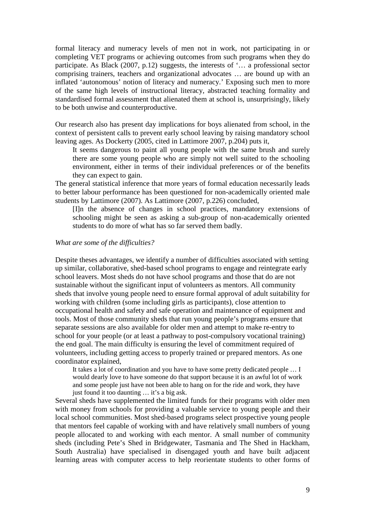formal literacy and numeracy levels of men not in work, not participating in or completing VET programs or achieving outcomes from such programs when they do participate. As Black (2007, p.12) suggests, the interests of '… a professional sector comprising trainers, teachers and organizational advocates … are bound up with an inflated 'autonomous' notion of literacy and numeracy.' Exposing such men to more of the same high levels of instructional literacy, abstracted teaching formality and standardised formal assessment that alienated them at school is, unsurprisingly, likely to be both unwise and counterproductive.

Our research also has present day implications for boys alienated from school, in the context of persistent calls to prevent early school leaving by raising mandatory school leaving ages. As Dockerty (2005, cited in Lattimore 2007, p.204) puts it,

It seems dangerous to paint all young people with the same brush and surely there are some young people who are simply not well suited to the schooling environment, either in terms of their individual preferences or of the benefits they can expect to gain.

The general statistical inference that more years of formal education necessarily leads to better labour performance has been questioned for non-academically oriented male students by Lattimore (2007). As Lattimore (2007, p.226) concluded,

[I]n the absence of changes in school practices, mandatory extensions of schooling might be seen as asking a sub-group of non-academically oriented students to do more of what has so far served them badly.

#### *What are some of the difficulties?*

Despite theses advantages, we identify a number of difficulties associated with setting up similar, collaborative, shed-based school programs to engage and reintegrate early school leavers. Most sheds do not have school programs and those that do are not sustainable without the significant input of volunteers as mentors. All community sheds that involve young people need to ensure formal approval of adult suitability for working with children (some including girls as participants), close attention to occupational health and safety and safe operation and maintenance of equipment and tools. Most of those community sheds that run young people's programs ensure that separate sessions are also available for older men and attempt to make re-entry to school for your people (or at least a pathway to post-compulsory vocational training) the end goal. The main difficulty is ensuring the level of commitment required of volunteers, including getting access to properly trained or prepared mentors. As one coordinator explained,

It takes a lot of coordination and you have to have some pretty dedicated people … I would dearly love to have someone do that support because it is an awful lot of work and some people just have not been able to hang on for the ride and work, they have just found it too daunting … it's a big ask.

Several sheds have supplemented the limited funds for their programs with older men with money from schools for providing a valuable service to young people and their local school communities. Most shed-based programs select prospective young people that mentors feel capable of working with and have relatively small numbers of young people allocated to and working with each mentor. A small number of community sheds (including Pete's Shed in Bridgewater, Tasmania and The Shed in Hackham, South Australia) have specialised in disengaged youth and have built adjacent learning areas with computer access to help reorientate students to other forms of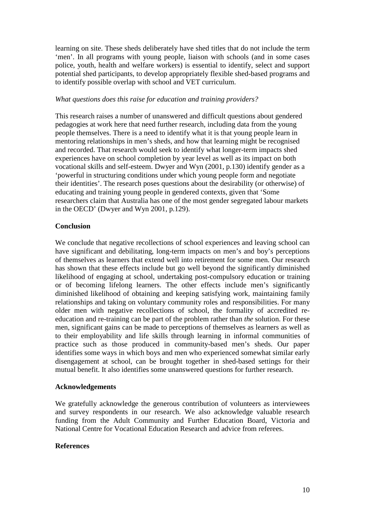learning on site. These sheds deliberately have shed titles that do not include the term 'men'. In all programs with young people, liaison with schools (and in some cases police, youth, health and welfare workers) is essential to identify, select and support potential shed participants, to develop appropriately flexible shed-based programs and to identify possible overlap with school and VET curriculum.

### *What questions does this raise for education and training providers?*

This research raises a number of unanswered and difficult questions about gendered pedagogies at work here that need further research, including data from the young people themselves. There is a need to identify what it is that young people learn in mentoring relationships in men's sheds, and how that learning might be recognised and recorded. That research would seek to identify what longer-term impacts shed experiences have on school completion by year level as well as its impact on both vocational skills and self-esteem. Dwyer and Wyn (2001, p.130) identify gender as a 'powerful in structuring conditions under which young people form and negotiate their identities'. The research poses questions about the desirability (or otherwise) of educating and training young people in gendered contexts, given that 'Some researchers claim that Australia has one of the most gender segregated labour markets in the OECD' (Dwyer and Wyn 2001, p.129).

## **Conclusion**

We conclude that negative recollections of school experiences and leaving school can have significant and debilitating, long-term impacts on men's and boy's perceptions of themselves as learners that extend well into retirement for some men. Our research has shown that these effects include but go well beyond the significantly diminished likelihood of engaging at school, undertaking post-compulsory education or training or of becoming lifelong learners. The other effects include men's significantly diminished likelihood of obtaining and keeping satisfying work, maintaining family relationships and taking on voluntary community roles and responsibilities. For many older men with negative recollections of school, the formality of accredited reeducation and re-training can be part of the problem rather than *the* solution. For these men, significant gains can be made to perceptions of themselves as learners as well as to their employability and life skills through learning in informal communities of practice such as those produced in community-based men's sheds. Our paper identifies some ways in which boys and men who experienced somewhat similar early disengagement at school, can be brought together in shed-based settings for their mutual benefit. It also identifies some unanswered questions for further research.

### **Acknowledgements**

We gratefully acknowledge the generous contribution of volunteers as interviewees and survey respondents in our research. We also acknowledge valuable research funding from the Adult Community and Further Education Board, Victoria and National Centre for Vocational Education Research and advice from referees.

### **References**